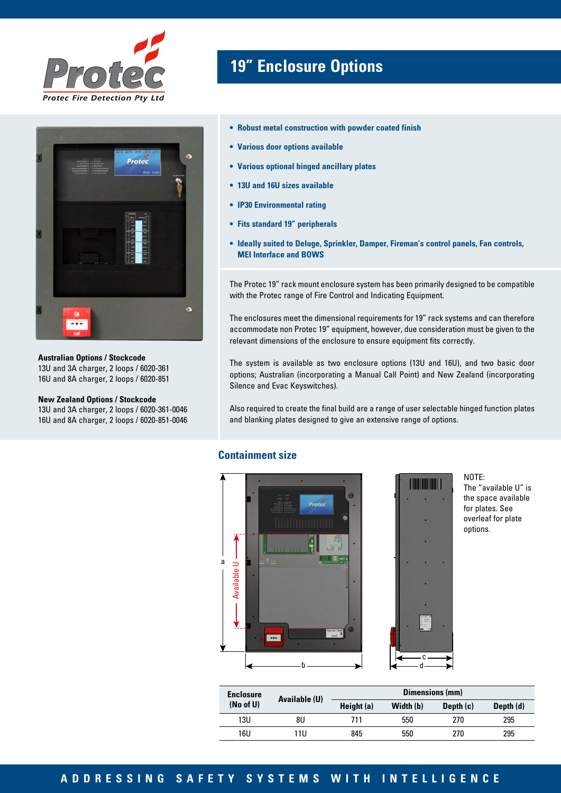



**Australian Options / Stockcode** 13U and 3A charger, 2 loops / 6020-361 16U and 8A charger, 2 loops / 6020-851

#### **New Zealand Options / Stockcode**

13U and 3A charger, 2 loops / 6020-361-0046 16U and 8A charger, 2 loops / 6020-851-0046

# **19" Enclosure Options**

- **• Robust metal construction with powder coated finish**
- **• Various door options available**
- **• Various optional hinged ancillary plates**
- **• 13U and 16U sizes available**
- **• IP30 Environmental rating**
- **• Fits standard 19" peripherals**
- **• Ideally suited to Deluge, Sprinkler, Damper, Fireman's control panels, Fan controls, MEI Interface and BOWS**

The Protec 19" rack mount enclosure system has been primarily designed to be compatible with the Protec range of Fire Control and Indicating Equipment.

The enclosures meet the dimensional requirements for 19" rack systems and can therefore accommodate non Protec 19" equipment, however, due consideration must be given to the relevant dimensions of the enclosure to ensure equipment fits correctly.

The system is available as two enclosure options (13U and 16U), and two basic door options; Australian (incorporating a Manual Call Point) and New Zealand (incorporating Silence and Evac Keyswitches).

Also required to create the final build are a range of user selectable hinged function plates and blanking plates designed to give an extensive range of options.

#### **Containment size**





d

NOTE: The "available U" is the space available for plates. See overleaf for plate options.

| <b>Enclosure</b> | Available (U) | Dimensions (mm) |           |             |           |  |
|------------------|---------------|-----------------|-----------|-------------|-----------|--|
| (No of U)        |               | Height $(a)$    | Width (b) | Depth $(c)$ | Depth (d) |  |
| 13U              | 8U            | 711             | 550       | 270         | 295       |  |
| 16U              | 11U           | 845             | 550       | 270         | 295       |  |

#### **ADDRESSING SAFETY SYSTEMS WITH INTELLIGENCE**